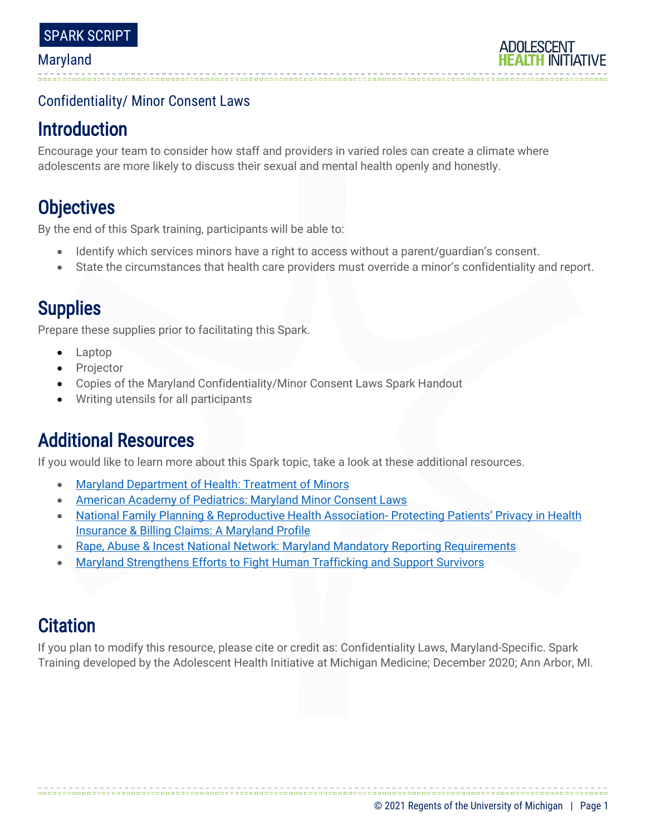## Confidentiality/ Minor Consent Laws

# Introduction

Encourage your team to consider how staff and providers in varied roles can create a climate where adolescents are more likely to discuss their sexual and mental health openly and honestly.

# **Objectives**

By the end of this Spark training, participants will be able to:

- Identify which services minors have a right to access without a parent/guardian's consent.
- State the circumstances that health care providers must override a minor's confidentiality and report.

## **Supplies**

Prepare these supplies prior to facilitating this Spark.

- Laptop
- Projector
- Copies of the Maryland Confidentiality/Minor Consent Laws Spark Handout
- Writing utensils for all participants

# Additional Resources

If you would like to learn more about this Spark topic, take a look at these additional resources.

- [Maryland Department of Health: Treatment of Minors](https://health.maryland.gov/psych/pdfs/Treatment.pdf)
- [American Academy of Pediatrics: Maryland Minor Consent Laws](http://www.nccpeds.com/ContinuityModules-Fall/Fall%20Continuity%20Source%20Materials/Maryland%20Minor%20Consent%20Laws-full.pdf)
- [National Family Planning & Reproductive Health Association-](https://www.nationalfamilyplanning.org/file/confidential--covered/Maryland_StateProfile_CC.pdf) Protecting Patients' Privacy in Health [Insurance & Billing Claims: A Maryland Profile](https://www.nationalfamilyplanning.org/file/confidential--covered/Maryland_StateProfile_CC.pdf)
- [Rape, Abuse & Incest National Network: Maryland Mandatory Reporting Requirements](https://apps.rainn.org/policy/policy-state-laws.cfm?state=Maryland&group=4&_ga=2.131361740.234966767.1565009474-353656672.1565009474)
- [Maryland Strengthens Efforts to Fight Human Trafficking and Support Survivors](https://sph.umd.edu/news-item/maryland-strengthens-efforts-fight-human-trafficking-and-support-survivors)

## **Citation**

If you plan to modify this resource, please cite or credit as: Confidentiality Laws, Maryland-Specific. Spark Training developed by the Adolescent Health Initiative at Michigan Medicine; December 2020; Ann Arbor, MI.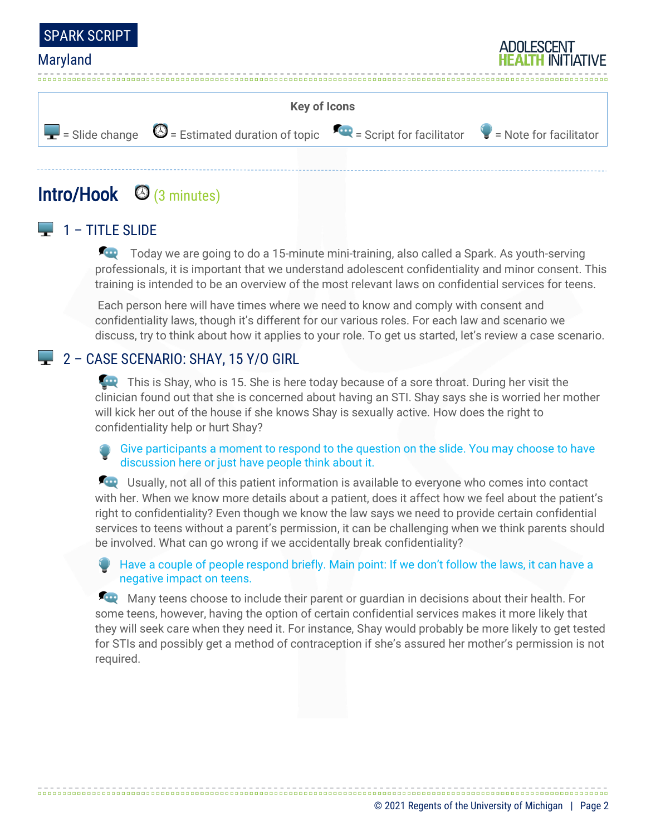



# Intro/Hook  $\Theta$  (3 minutes)

## $\Box$  1 – TITLE SLIDE

Today we are going to do a 15-minute mini-training, also called a Spark. As youth-serving professionals, it is important that we understand adolescent confidentiality and minor consent. This training is intended to be an overview of the most relevant laws on confidential services for teens.

Each person here will have times where we need to know and comply with consent and confidentiality laws, though it's different for our various roles. For each law and scenario we discuss, try to think about how it applies to your role. To get us started, let's review a case scenario.

### 2 – CASE SCENARIO: SHAY, 15 Y/O GIRL

This is Shay, who is 15. She is here today because of a sore throat. During her visit the clinician found out that she is concerned about having an STI. Shay says she is worried her mother will kick her out of the house if she knows Shay is sexually active. How does the right to confidentiality help or hurt Shay?

Give participants a moment to respond to the question on the slide. You may choose to have discussion here or just have people think about it.

Usually, not all of this patient information is available to everyone who comes into contact with her. When we know more details about a patient, does it affect how we feel about the patient's right to confidentiality? Even though we know the law says we need to provide certain confidential services to teens without a parent's permission, it can be challenging when we think parents should be involved. What can go wrong if we accidentally break confidentiality?

Have a couple of people respond briefly. Main point: If we don't follow the laws, it can have a negative impact on teens.

Many teens choose to include their parent or guardian in decisions about their health. For some teens, however, having the option of certain confidential services makes it more likely that they will seek care when they need it. For instance, Shay would probably be more likely to get tested for STIs and possibly get a method of contraception if she's assured her mother's permission is not required.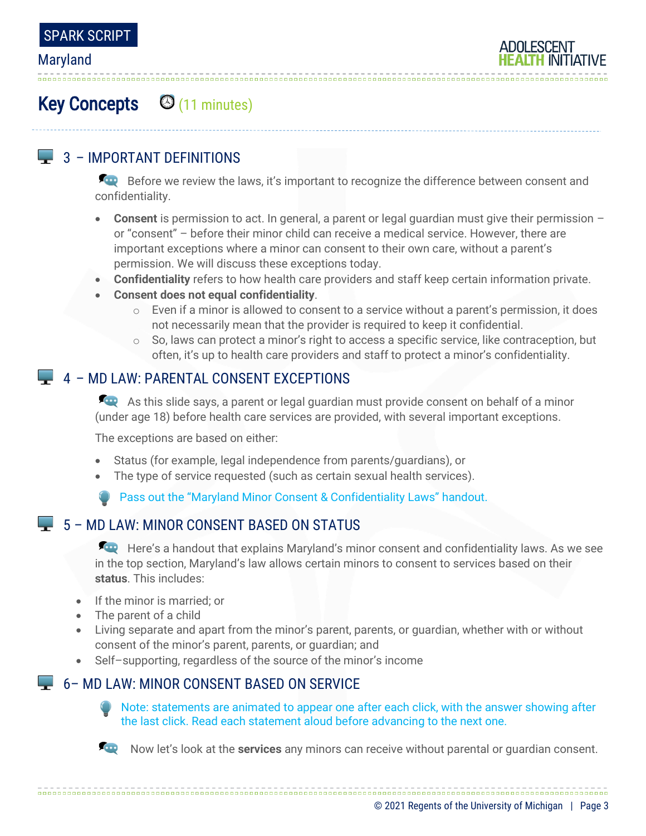

# **Key Concepts**  $\Theta$  (11 minutes)

## $\Box$  3 – IMPORTANT DEFINITIONS

Before we review the laws, it's important to recognize the difference between consent and confidentiality.

- **Consent** is permission to act. In general, a parent or legal guardian must give their permission or "consent" – before their minor child can receive a medical service. However, there are important exceptions where a minor can consent to their own care, without a parent's permission. We will discuss these exceptions today.
- **Confidentiality** refers to how health care providers and staff keep certain information private.
- **Consent does not equal confidentiality**.
	- $\circ$  Even if a minor is allowed to consent to a service without a parent's permission, it does not necessarily mean that the provider is required to keep it confidential.
	- $\circ$  So, laws can protect a minor's right to access a specific service, like contraception, but often, it's up to health care providers and staff to protect a minor's confidentiality.

### $\Box$  4 – MD LAW: PARENTAL CONSENT EXCEPTIONS

As this slide says, a parent or legal guardian must provide consent on behalf of a minor (under age 18) before health care services are provided, with several important exceptions.

The exceptions are based on either:

- Status (for example, legal independence from parents/guardians), or
- The type of service requested (such as certain sexual health services).

Pass out the "Maryland Minor Consent & Confidentiality Laws" handout.

### $\blacktriangleright$  5 – MD LAW: MINOR CONSENT BASED ON STATUS

Here's a handout that explains Maryland's minor consent and confidentiality laws. As we see in the top section, Maryland's law allows certain minors to consent to services based on their **status**. This includes:

- If the minor is married; or
- The parent of a child
- Living separate and apart from the minor's parent, parents, or guardian, whether with or without consent of the minor's parent, parents, or guardian; and
- Self–supporting, regardless of the source of the minor's income

### 6 – MD LAW: MINOR CONSENT BASED ON SERVICE





Now let's look at the **services** any minors can receive without parental or guardian consent.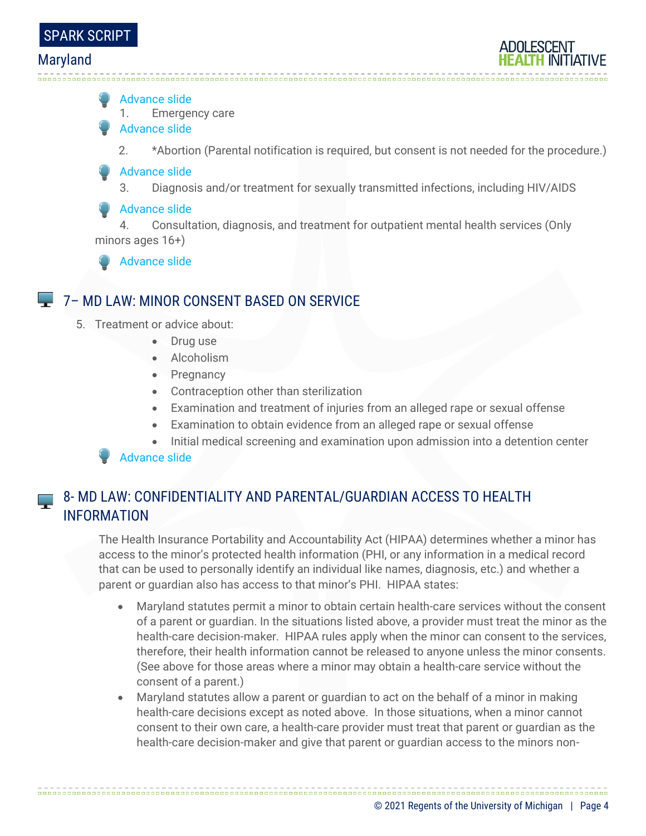

Advance slide

1. Emergency care

Advance slide

2. \*Abortion (Parental notification is required, but consent is not needed for the procedure.)

Advance slide

3. Diagnosis and/or treatment for sexually transmitted infections, including HIV/AIDS

#### Advance slide

4. Consultation, diagnosis, and treatment for outpatient mental health services (Only minors ages 16+)

Advance slide

### **T** 7– MD LAW: MINOR CONSENT BASED ON SERVICE

5. Treatment or advice about:

- Drug use
- Alcoholism
- Pregnancy
- Contraception other than sterilization
- Examination and treatment of injuries from an alleged rape or sexual offense
- Examination to obtain evidence from an alleged rape or sexual offense
- Initial medical screening and examination upon admission into a detention center

Advance slide

#### 8- MD LAW: CONFIDENTIALITY AND PARENTAL/GUARDIAN ACCESS TO HEALTH INFORMATION

The Health Insurance Portability and Accountability Act (HIPAA) determines whether a minor has access to the minor's protected health information (PHI, or any information in a medical record that can be used to personally identify an individual like names, diagnosis, etc.) and whether a parent or guardian also has access to that minor's PHI. HIPAA states:

- Maryland statutes permit a minor to obtain certain health-care services without the consent of a parent or guardian. In the situations listed above, a provider must treat the minor as the health-care decision-maker. HIPAA rules apply when the minor can consent to the services, therefore, their health information cannot be released to anyone unless the minor consents. (See above for those areas where a minor may obtain a health-care service without the consent of a parent.)
- Maryland statutes allow a parent or guardian to act on the behalf of a minor in making health-care decisions except as noted above. In those situations, when a minor cannot consent to their own care, a health-care provider must treat that parent or guardian as the health-care decision-maker and give that parent or guardian access to the minors non-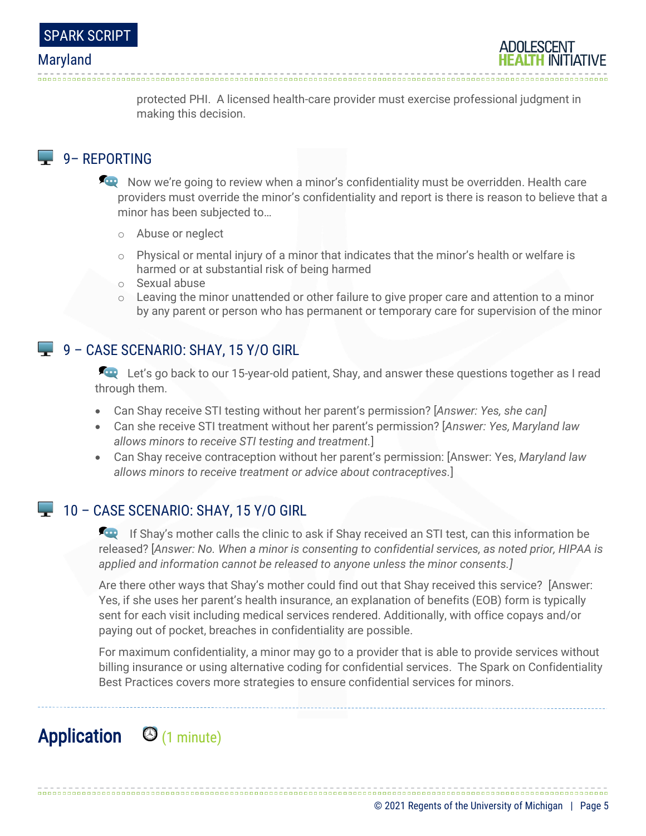

protected PHI. A licensed health-care provider must exercise professional judgment in making this decision.

## $\Box$  9 – REPORTING

Now we're going to review when a minor's confidentiality must be overridden. Health care providers must override the minor's confidentiality and report is there is reason to believe that a minor has been subjected to…

- o Abuse or neglect
- o Physical or mental injury of a minor that indicates that the minor's health or welfare is harmed or at substantial risk of being harmed
- o Sexual abuse
- $\circ$  Leaving the minor unattended or other failure to give proper care and attention to a minor by any parent or person who has permanent or temporary care for supervision of the minor

### 9 - CASE SCENARIO: SHAY, 15 Y/O GIRL

Let's go back to our 15-year-old patient, Shay, and answer these questions together as I read through them.

- Can Shay receive STI testing without her parent's permission? [*Answer: Yes, she can]*
- Can she receive STI treatment without her parent's permission? [*Answer: Yes, Maryland law allows minors to receive STI testing and treatment.*]
- Can Shay receive contraception without her parent's permission: [Answer: Yes, *Maryland law allows minors to receive treatment or advice about contraceptives.*]

### 10 - CASE SCENARIO: SHAY, 15 Y/O GIRL

If Shay's mother calls the clinic to ask if Shay received an STI test, can this information be released? [*Answer: No. When a minor is consenting to confidential services, as noted prior, HIPAA is applied and information cannot be released to anyone unless the minor consents.]*

Are there other ways that Shay's mother could find out that Shay received this service? [Answer: Yes, if she uses her parent's health insurance, an explanation of benefits (EOB) form is typically sent for each visit including medical services rendered. Additionally, with office copays and/or paying out of pocket, breaches in confidentiality are possible.

For maximum confidentiality, a minor may go to a provider that is able to provide services without billing insurance or using alternative coding for confidential services. The Spark on Confidentiality Best Practices covers more strategies to ensure confidential services for minors.

# **Application**  $\bigcirc$  (1 minute)